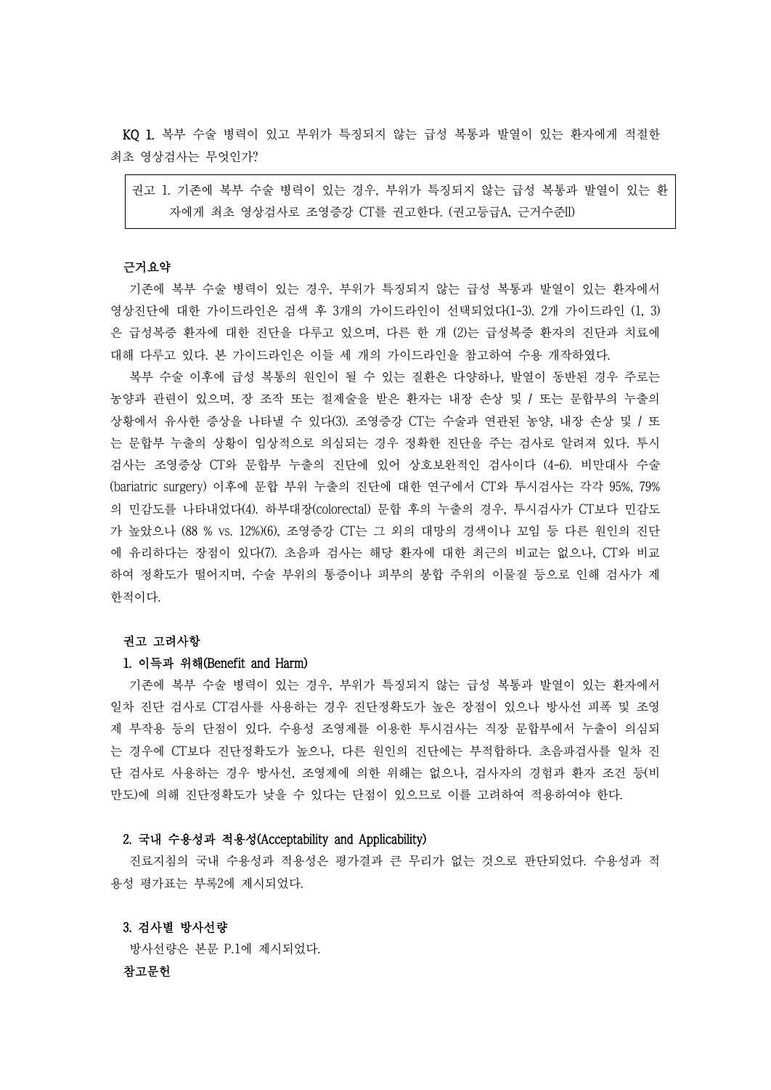KQ 1. 복부 수술 병력이 있고 부위가 특징되지 않는 급성 복통과 발열이 있는 환자에게 적절한 최초 영상검사는 무엇인가?

권고 1. 기존에 복부 수술 병력이 있는 경우, 부위가 특징되지 않는 급성 복통과 발열이 있는 환 자에게 최초 영상검사로 조영증강 CT를 권고한다. (권고등급A, 근거수준II)

#### 근거요약

기존에 복부 수술 병력이 있는 경우, 부위가 특징되지 않는 급성 복통과 발열이 있는 환자에서 영상진단에 대한 가이드라인은 검색 후 3개의 가이드라인이 선택되었다(1-3). 2개 가이드라인 (1, 3) 은 급성복증 환자에 대한 진단을 다루고 있으며, 다른 한 개 (2)는 급성복증 환자의 진단과 치료에 대해 다루고 있다. 본 가이드라인은 이들 세 개의 가이드라인을 참고하여 수용 개작하였다.

복부 수술 이후에 급성 복통의 원인이 될 수 있는 질환은 다양하나, 발열이 동반된 경우 주로는 농양과 관련이 있으며, 장 조작 또는 절제술을 받은 환자는 내장 손상 및 / 또는 문합부의 누출의 상황에서 유사한 증상을 나타낼 수 있다(3). 조영증강 CT는 수술과 연관된 농양, 내장 손상 및 / 또 는 문합부 누출의 상황이 임상적으로 의심되는 경우 정확한 진단을 주는 검사로 알려져 있다. 투시 검사는 조영증상 CT와 문합부 누출의 진단에 있어 상호보완적인 검사이다 (4-6). 비만대사 수술 (bariatric surgery) 이후에 문합 부위 누출의 진단에 대한 연구에서 CT와 투시검사는 각각 95%, 79% 의 민감도를 나타내었다(4). 하부대장(colorectal) 문합 후의 누출의 경우, 투시검사가 CT보다 민감도 가 높았으나 (88 % vs. 12%)(6), 조영증강 CT는 그 외의 대망의 경색이나 꼬임 등 다른 원인의 진단 에 유리하다는 장점이 있다(7). 초음파 검사는 해당 환자에 대한 최근의 비교는 없으나, CT와 비교 하여 정확도가 떨어지며, 수술 부위의 통증이나 피부의 봉합 주위의 이물질 등으로 인해 검사가 제 한적이다.

# 권고 고려사항

### 1. 이득과 위해(Benefit and Harm)

기존에 복부 수술 병력이 있는 경우, 부위가 특징되지 않는 급성 복통과 발열이 있는 환자에서 일차 진단 검사로 CT검사를 사용하는 경우 진단정확도가 높은 장점이 있으나 방사선 피폭 및 조영 제 부작용 등의 단점이 있다. 수용성 조영제를 이용한 투시검사는 직장 문합부에서 누출이 의심되 는 경우에 CT보다 진단정확도가 높으나, 다른 원인의 진단에는 부적합하다. 초음파검사를 일차 진 단 검사로 사용하는 경우 방사선, 조영제에 의한 위해는 없으나, 검사자의 경험과 환자 조건 등(비 만도)에 의해 진단정확도가 낮을 수 있다는 단점이 있으므로 이를 고려하여 적용하여야 한다.

### 2. 국내 수용성과 적용성(Acceptability and Applicability)

진료지침의 국내 수용성과 적용성은 평가결과 큰 무리가 없는 것으로 판단되었다. 수용성과 적 용성 평가표는 부록2에 제시되었다.

# 3. 검사별 방사선량

방사선량은 본문 P.1에 제시되었다.

# 참고문헌